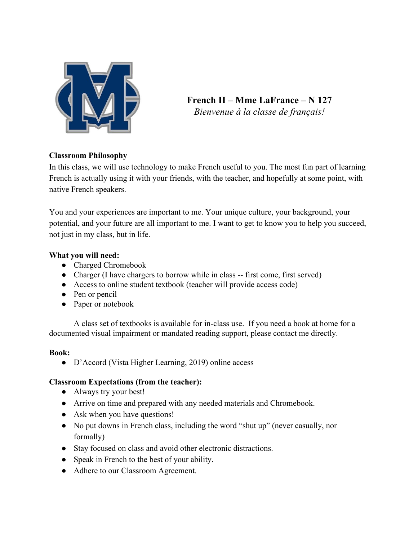

**French II – Mme LaFrance – N 127** *Bienvenue à la classe de français!*

# **Classroom Philosophy**

In this class, we will use technology to make French useful to you. The most fun part of learning French is actually using it with your friends, with the teacher, and hopefully at some point, with native French speakers.

You and your experiences are important to me. Your unique culture, your background, your potential, and your future are all important to me. I want to get to know you to help you succeed, not just in my class, but in life.

## **What you will need:**

- Charged Chromebook
- Charger (I have chargers to borrow while in class -- first come, first served)
- Access to online student textbook (teacher will provide access code)
- Pen or pencil
- Paper or notebook

A class set of textbooks is available for in-class use. If you need a book at home for a documented visual impairment or mandated reading support, please contact me directly.

### **Book:**

● D'Accord (Vista Higher Learning, 2019) online access

# **Classroom Expectations (from the teacher):**

- Always try your best!
- Arrive on time and prepared with any needed materials and Chromebook.
- Ask when you have questions!
- No put downs in French class, including the word "shut up" (never casually, nor formally)
- Stay focused on class and avoid other electronic distractions.
- Speak in French to the best of your ability.
- Adhere to our Classroom Agreement.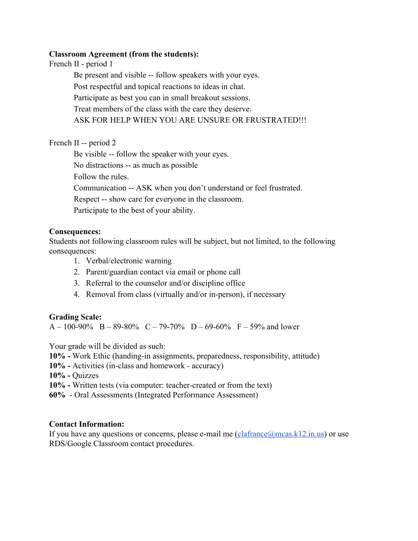#### **Classroom Agreement (from the students):**

French II - period 1

Be present and visible -- follow speakers with your eyes. Post respectful and topical reactions to ideas in chat. Participate as best you can in small breakout sessions. Treat members of the class with the care they deserve. ASK FOR HELP WHEN YOU ARE UNSURE OR FRUSTRATED!!!

French II -- period 2

Be visible -- follow the speaker with your eyes. No distractions -- as much as possible Follow the rules. Communication -- ASK when you don't understand or feel frustrated. Respect -- show care for everyone in the classroom. Participate to the best of your ability.

## **Consequences:**

Students not following classroom rules will be subject, but not limited, to the following consequences:

- 1. Verbal/electronic warning
- 2. Parent/guardian contact via email or phone call
- 3. Referral to the counselor and/or discipline office
- 4. Removal from class (virtually and/or in-person), if necessary

### **Grading Scale:**

A – 100-90% B – 89-80% C – 79-70% D – 69-60% F – 59% and lower

Your grade will be divided as such:

- **10%** Work Ethic (handing-in assignments, preparedness, responsibility, attitude)
- **10%** Activities (in-class and homework accuracy)

**10% -** Quizzes

- **10%** Written tests (via computer: teacher-created or from the text)
- **60%** Oral Assessments (Integrated Performance Assessment)

### **Contact Information:**

If you have any questions or concerns, please e-mail me  $(claframe@mcas.k12.in.us)$  or use RDS/Google Classroom contact procedures.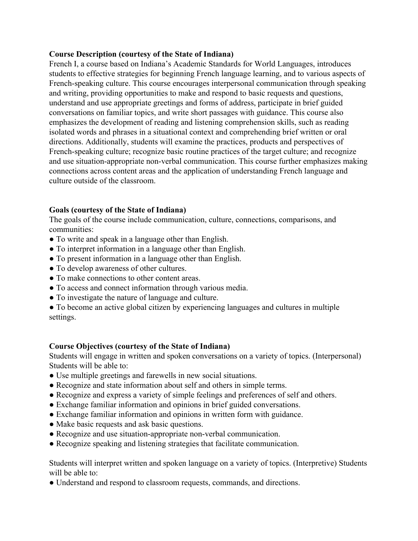#### **Course Description (courtesy of the State of Indiana)**

French I, a course based on Indiana's Academic Standards for World Languages, introduces students to effective strategies for beginning French language learning, and to various aspects of French-speaking culture. This course encourages interpersonal communication through speaking and writing, providing opportunities to make and respond to basic requests and questions, understand and use appropriate greetings and forms of address, participate in brief guided conversations on familiar topics, and write short passages with guidance. This course also emphasizes the development of reading and listening comprehension skills, such as reading isolated words and phrases in a situational context and comprehending brief written or oral directions. Additionally, students will examine the practices, products and perspectives of French-speaking culture; recognize basic routine practices of the target culture; and recognize and use situation-appropriate non-verbal communication. This course further emphasizes making connections across content areas and the application of understanding French language and culture outside of the classroom.

### **Goals (courtesy of the State of Indiana)**

The goals of the course include communication, culture, connections, comparisons, and communities:

- To write and speak in a language other than English.
- To interpret information in a language other than English.
- To present information in a language other than English.
- To develop awareness of other cultures.
- To make connections to other content areas.
- To access and connect information through various media.
- To investigate the nature of language and culture.
- To become an active global citizen by experiencing languages and cultures in multiple settings.

### **Course Objectives (courtesy of the State of Indiana)**

Students will engage in written and spoken conversations on a variety of topics. (Interpersonal) Students will be able to:

- Use multiple greetings and farewells in new social situations.
- Recognize and state information about self and others in simple terms.
- Recognize and express a variety of simple feelings and preferences of self and others.
- Exchange familiar information and opinions in brief guided conversations.
- Exchange familiar information and opinions in written form with guidance.
- Make basic requests and ask basic questions.
- Recognize and use situation-appropriate non-verbal communication.
- Recognize speaking and listening strategies that facilitate communication.

Students will interpret written and spoken language on a variety of topics. (Interpretive) Students will be able to:

● Understand and respond to classroom requests, commands, and directions.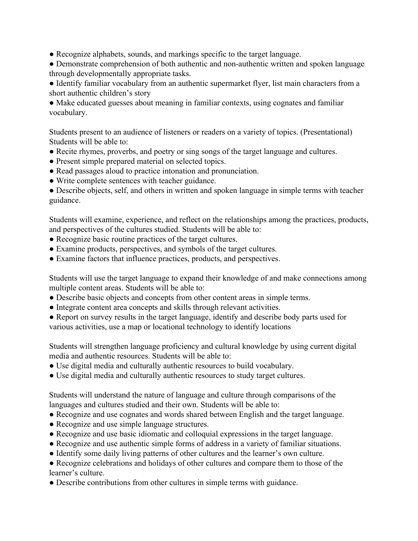- Recognize alphabets, sounds, and markings specific to the target language.
- Demonstrate comprehension of both authentic and non-authentic written and spoken language through developmentally appropriate tasks.
- Identify familiar vocabulary from an authentic supermarket flyer, list main characters from a short authentic children's story

• Make educated guesses about meaning in familiar contexts, using cognates and familiar vocabulary.

Students present to an audience of listeners or readers on a variety of topics. (Presentational) Students will be able to:

- Recite rhymes, proverbs, and poetry or sing songs of the target language and cultures.
- Present simple prepared material on selected topics.
- Read passages aloud to practice intonation and pronunciation.
- Write complete sentences with teacher guidance.

• Describe objects, self, and others in written and spoken language in simple terms with teacher guidance.

Students will examine, experience, and reflect on the relationships among the practices, products, and perspectives of the cultures studied. Students will be able to:

- Recognize basic routine practices of the target cultures.
- Examine products, perspectives, and symbols of the target cultures.
- Examine factors that influence practices, products, and perspectives.

Students will use the target language to expand their knowledge of and make connections among multiple content areas. Students will be able to:

- Describe basic objects and concepts from other content areas in simple terms.
- Integrate content area concepts and skills through relevant activities.
- Report on survey results in the target language, identify and describe body parts used for various activities, use a map or locational technology to identify locations

Students will strengthen language proficiency and cultural knowledge by using current digital media and authentic resources. Students will be able to:

- Use digital media and culturally authentic resources to build vocabulary.
- Use digital media and culturally authentic resources to study target cultures.

Students will understand the nature of language and culture through comparisons of the languages and cultures studied and their own. Students will be able to:

- Recognize and use cognates and words shared between English and the target language.
- Recognize and use simple language structures.
- Recognize and use basic idiomatic and colloquial expressions in the target language.
- Recognize and use authentic simple forms of address in a variety of familiar situations.
- Identify some daily living patterns of other cultures and the learner's own culture.
- Recognize celebrations and holidays of other cultures and compare them to those of the learner's culture.
- Describe contributions from other cultures in simple terms with guidance.